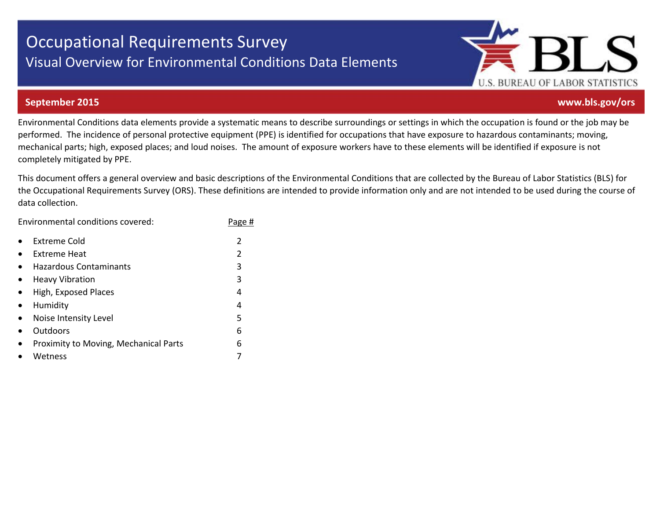# Occupational Requirements Survey Visual Overview for Environmental Conditions Data Elements



#### **September 2015 www.bls.gov/ors**

Environmental Conditions data elements provide a systematic means to describe surroundings or settings in which the occupation is found or the job may be performed. The incidence of personal protective equipment (PPE) is identified for occupations that have exposure to hazardous contaminants; moving, mechanical parts; high, exposed places; and loud noises. The amount of exposure workers have to these elements will be identified if exposure is not completely mitigated by PPE.

This document offers a general overview and basic descriptions of the Environmental Conditions that are collected by the Bureau of Labor Statistics (BLS) for the Occupational Requirements Survey (ORS). These definitions are intended to provide information only and are not intended to be used during the course of data collection.

Environmental conditions covered: Page #

|           | <b>Extreme Cold</b>                   |   |
|-----------|---------------------------------------|---|
|           | Extreme Heat                          | 2 |
|           | <b>Hazardous Contaminants</b>         | 3 |
| $\bullet$ | <b>Heavy Vibration</b>                | 3 |
| $\bullet$ | High, Exposed Places                  | 4 |
| $\bullet$ | Humidity                              | 4 |
| $\bullet$ | Noise Intensity Level                 | 5 |
|           | Outdoors                              | 6 |
|           | Proximity to Moving, Mechanical Parts | 6 |
|           | Wetness                               |   |
|           |                                       |   |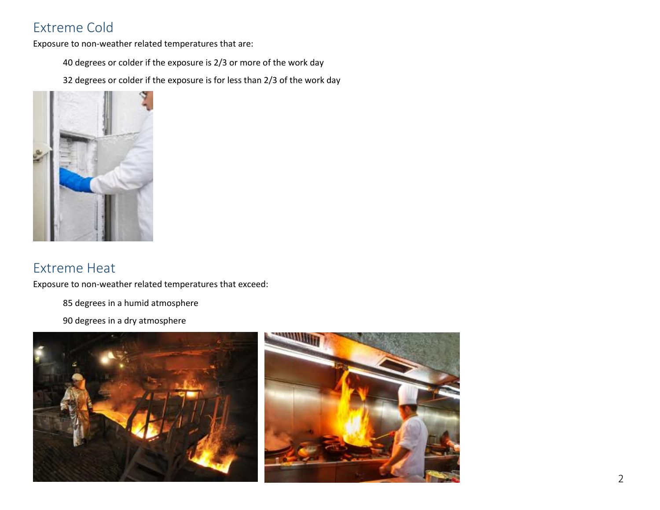## Extreme Cold

Exposure to non-weather related temperatures that are:

40 degrees or colder if the exposure is 2/3 or more of the work day

32 degrees or colder if the exposure is for less than 2/3 of the work day



#### Extreme Heat

Exposure to non-weather related temperatures that exceed:

85 degrees in a humid atmosphere

90 degrees in a dry atmosphere

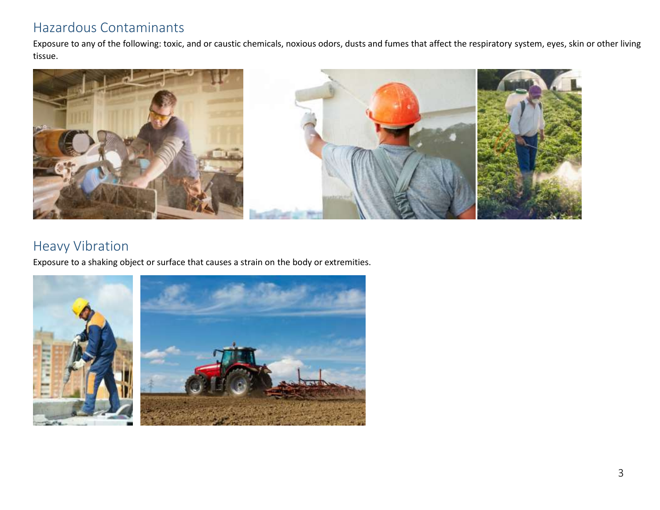#### Hazardous Contaminants

Exposure to any of the following: toxic, and or caustic chemicals, noxious odors, dusts and fumes that affect the respiratory system, eyes, skin or other living tissue.



#### Heavy Vibration

Exposure to a shaking object or surface that causes a strain on the body or extremities.

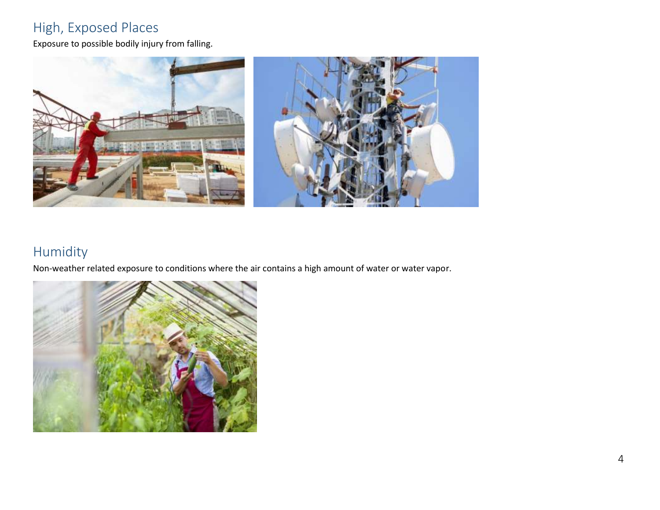## High, Exposed Places

Exposure to possible bodily injury from falling.



## Humidity

Non-weather related exposure to conditions where the air contains a high amount of water or water vapor.

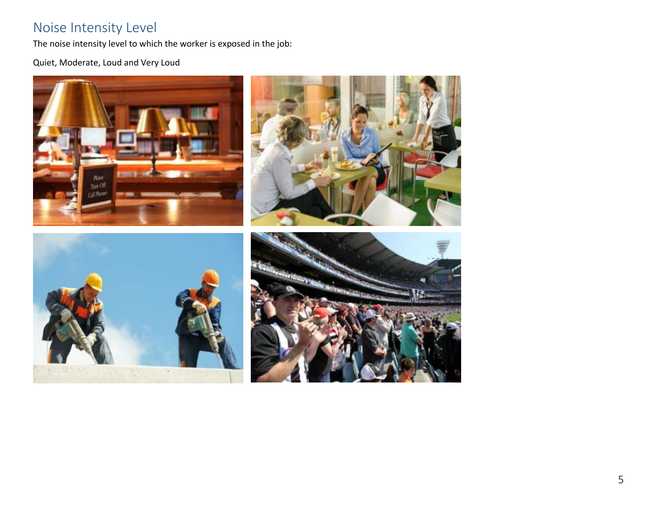#### Noise Intensity Level

The noise intensity level to which the worker is exposed in the job:

Quiet, Moderate, Loud and Very Loud

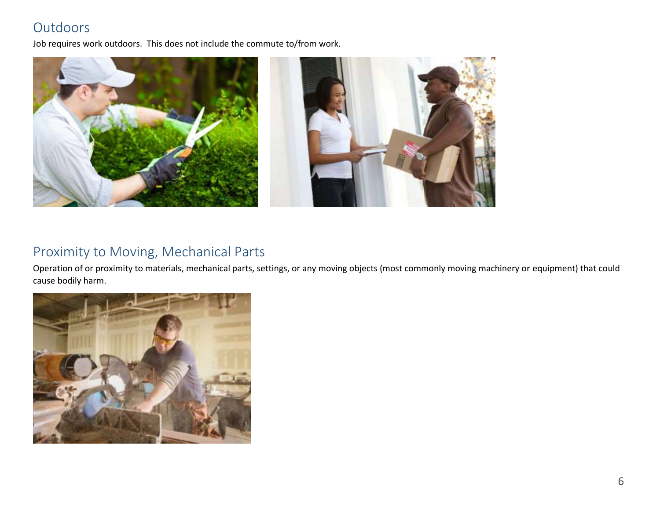## **Outdoors**

Job requires work outdoors. This does not include the commute to/from work.



#### Proximity to Moving, Mechanical Parts

Operation of or proximity to materials, mechanical parts, settings, or any moving objects (most commonly moving machinery or equipment) that could cause bodily harm.